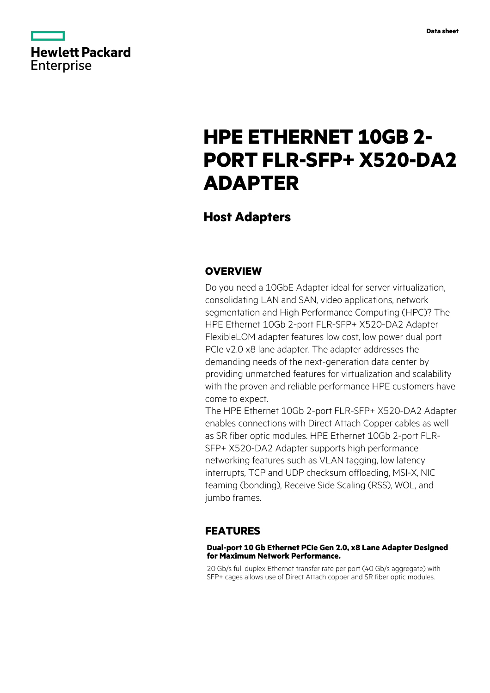

# **HPE ETHERNET 10GB 2- PORT FLR-SFP+ X520-DA2 ADAPTER**

# **Host Adapters**

### **OVERVIEW**

Do you need a 10GbE Adapter ideal for server virtualization, consolidating LAN and SAN, video applications, network segmentation and High Performance Computing (HPC)? The HPE Ethernet 10Gb 2-port FLR-SFP+ X520-DA2 Adapter FlexibleLOM adapter features low cost, low power dual port PCIe v2.0 x8 lane adapter. The adapter addresses the demanding needs of the next-generation data center by providing unmatched features for virtualization and scalability with the proven and reliable performance HPE customers have come to expect.

The HPE Ethernet 10Gb 2-port FLR-SFP+ X520-DA2 Adapter enables connections with Direct Attach Copper cables as well as SR fiber optic modules. HPE Ethernet 10Gb 2-port FLR-SFP+ X520-DA2 Adapter supports high performance networking features such as VLAN tagging, low latency interrupts, TCP and UDP checksum offloading, MSI-X, NIC teaming (bonding), Receive Side Scaling (RSS), WOL, and jumbo frames.

#### **FEATURES**

#### **Dual-port 10 Gb Ethernet PCIe Gen 2.0, x8 Lane Adapter Designed for Maximum Network Performance.**

20 Gb/s full duplex Ethernet transfer rate per port (40 Gb/s aggregate) with SFP+ cages allows use of Direct Attach copper and SR fiber optic modules.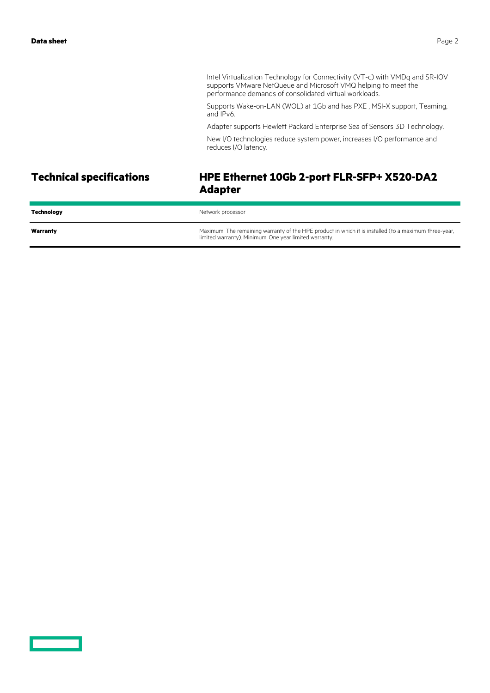Intel Virtualization Technology for Connectivity (VT-c) with VMDq and SR-IOV supports VMware NetQueue and Microsoft VMQ helping to meet the performance demands of consolidated virtual workloads.

Supports Wake-on-LAN (WOL) at 1Gb and has PXE , MSI-X support, Teaming, and IPv6.

Adapter supports Hewlett Packard Enterprise Sea of Sensors 3D Technology.

New I/O technologies reduce system power, increases I/O performance and reduces I/O latency.

# **Technical specifications HPE Ethernet 10Gb 2-port FLR-SFP+ X520-DA2 Adapter**

| Technology | Network processor                                                                                                                                               |
|------------|-----------------------------------------------------------------------------------------------------------------------------------------------------------------|
| Warranty   | Maximum: The remaining warranty of the HPE product in which it is installed (to a maximum three-year,<br>limited warranty). Minimum: One year limited warranty. |